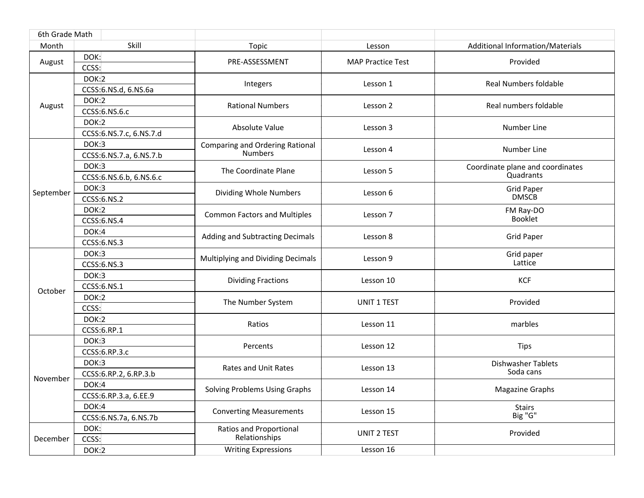| 6th Grade Math |                          |                                                          |                          |                                        |
|----------------|--------------------------|----------------------------------------------------------|--------------------------|----------------------------------------|
| Month          | Skill                    | Topic                                                    | Lesson                   | Additional Information/Materials       |
| August         | DOK:                     | PRE-ASSESSMENT                                           | <b>MAP Practice Test</b> | Provided                               |
|                | CCSS:                    |                                                          |                          |                                        |
| August         | DOK:2                    | Integers                                                 | Lesson 1                 | <b>Real Numbers foldable</b>           |
|                | CCSS: 6.NS.d, 6.NS.6a    |                                                          |                          |                                        |
|                | DOK:2                    | <b>Rational Numbers</b>                                  | Lesson 2                 | Real numbers foldable                  |
|                | CCSS: 6.NS.6.c           |                                                          |                          |                                        |
|                | DOK:2                    | Absolute Value                                           | Lesson 3                 | Number Line                            |
|                | CCSS: 6.NS.7.c, 6.NS.7.d |                                                          |                          |                                        |
|                | DOK:3                    | <b>Comparing and Ordering Rational</b><br><b>Numbers</b> | Lesson 4                 | Number Line                            |
|                | CCSS: 6.NS.7.a, 6.NS.7.b |                                                          |                          |                                        |
|                | DOK:3                    | The Coordinate Plane                                     | Lesson 5                 | Coordinate plane and coordinates       |
|                | CCSS: 6.NS.6.b, 6.NS.6.c |                                                          |                          | Quadrants                              |
| September      | DOK:3                    | Dividing Whole Numbers                                   | Lesson 6                 | <b>Grid Paper</b>                      |
|                | CCSS: 6.NS.2             |                                                          |                          | <b>DMSCB</b>                           |
|                | DOK:2                    | <b>Common Factors and Multiples</b>                      | Lesson 7                 | FM Ray-DO                              |
|                | CCSS: 6.NS.4             |                                                          |                          | <b>Booklet</b>                         |
|                | DOK:4                    | Adding and Subtracting Decimals                          | Lesson 8                 | <b>Grid Paper</b>                      |
|                | CCSS: 6.NS.3             |                                                          |                          |                                        |
|                | DOK:3                    | Multiplying and Dividing Decimals                        | Lesson 9                 | Grid paper                             |
|                | CCSS: 6.NS.3             |                                                          |                          | Lattice                                |
|                | DOK:3                    | <b>Dividing Fractions</b>                                | Lesson 10                | <b>KCF</b>                             |
| October        | CCSS: 6.NS.1             |                                                          |                          |                                        |
|                | DOK:2                    | The Number System                                        | UNIT 1 TEST              | Provided                               |
|                | CCSS:                    |                                                          |                          |                                        |
|                | DOK:2                    | Ratios                                                   | Lesson 11                | marbles                                |
|                | CCSS:6.RP.1              |                                                          |                          |                                        |
|                | DOK:3                    | Percents                                                 | Lesson 12                | <b>Tips</b>                            |
|                | CCSS: 6.RP.3.c           |                                                          |                          |                                        |
|                | DOK:3                    | Rates and Unit Rates                                     | Lesson 13                | <b>Dishwasher Tablets</b><br>Soda cans |
| November       | CCSS: 6.RP.2, 6.RP.3.b   |                                                          |                          |                                        |
|                | DOK:4                    | Solving Problems Using Graphs                            | Lesson 14                | <b>Magazine Graphs</b>                 |
|                | CCSS: 6.RP.3.a, 6.EE.9   |                                                          |                          |                                        |
|                | DOK:4                    | <b>Converting Measurements</b>                           | Lesson 15                | <b>Stairs</b><br>Big "G"               |
|                | CCSS: 6.NS.7a, 6.NS.7b   |                                                          |                          |                                        |
| December       | DOK:                     | Ratios and Proportional<br>Relationships                 | <b>UNIT 2 TEST</b>       | Provided                               |
|                | CCSS:                    |                                                          |                          |                                        |
|                | DOK:2                    | <b>Writing Expressions</b>                               | Lesson 16                |                                        |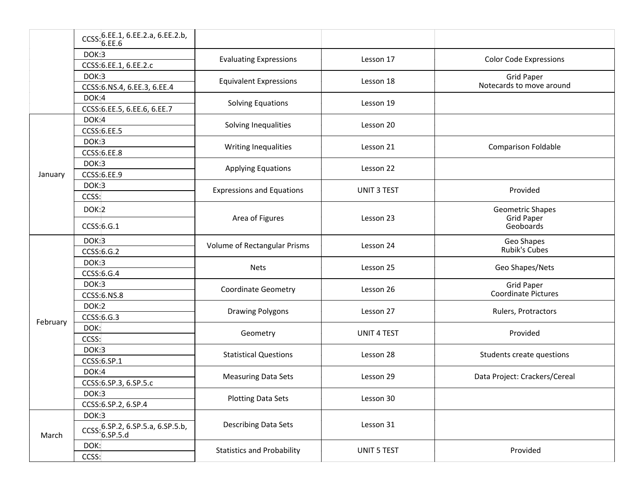|          | CCSS: 6.EE.1, 6.EE.2.a, 6.EE.2.b,<br>6.EE.6   |                                   |                    |                                |
|----------|-----------------------------------------------|-----------------------------------|--------------------|--------------------------------|
|          | DOK:3                                         | <b>Evaluating Expressions</b>     | Lesson 17          | <b>Color Code Expressions</b>  |
|          | CCSS: 6.EE.1, 6.EE.2.c                        |                                   |                    |                                |
|          | DOK:3                                         |                                   |                    | <b>Grid Paper</b>              |
|          | CCSS: 6.NS.4, 6.EE.3, 6.EE.4                  | <b>Equivalent Expressions</b>     | Lesson 18          | Notecards to move around       |
|          | DOK:4                                         | <b>Solving Equations</b>          | Lesson 19          |                                |
|          | CCSS: 6.EE.5, 6.EE.6, 6.EE.7                  |                                   |                    |                                |
|          | DOK:4                                         | Solving Inequalities              | Lesson 20          |                                |
|          | <b>CCSS: 6.EE.5</b>                           |                                   |                    |                                |
|          | DOK:3                                         | Writing Inequalities              | Lesson 21          | <b>Comparison Foldable</b>     |
|          | <b>CCSS: 6.EE.8</b>                           |                                   |                    |                                |
|          | DOK:3                                         | <b>Applying Equations</b>         | Lesson 22          |                                |
| January  | <b>CCSS: 6.EE.9</b>                           |                                   |                    |                                |
|          | DOK:3                                         | <b>Expressions and Equations</b>  | UNIT 3 TEST        | Provided                       |
|          | CCSS:                                         |                                   |                    |                                |
|          | DOK:2                                         | Area of Figures                   | Lesson 23          | Geometric Shapes               |
|          | CCSS:6.G.1                                    |                                   |                    | <b>Grid Paper</b><br>Geoboards |
|          | DOK:3                                         | Volume of Rectangular Prisms      | Lesson 24          | Geo Shapes                     |
|          | CCSS: 6.G.2                                   |                                   |                    | <b>Rubik's Cubes</b>           |
|          | DOK:3                                         | <b>Nets</b>                       | Lesson 25          | Geo Shapes/Nets                |
|          | CCSS: 6.6.4                                   |                                   |                    |                                |
|          | DOK:3                                         | <b>Coordinate Geometry</b>        | Lesson 26          | <b>Grid Paper</b>              |
|          | <b>CCSS:6.NS.8</b>                            |                                   |                    | Coordinate Pictures            |
|          | <b>DOK:2</b>                                  | <b>Drawing Polygons</b>           | Lesson 27          | Rulers, Protractors            |
| February | CCSS: 6.G.3                                   |                                   |                    |                                |
|          | DOK:                                          | Geometry                          | <b>UNIT 4 TEST</b> | Provided                       |
|          | CCSS:                                         |                                   |                    |                                |
|          | DOK:3                                         | <b>Statistical Questions</b>      | Lesson 28          | Students create questions      |
|          | CCSS:6.SP.1                                   |                                   |                    |                                |
|          | DOK:4                                         | <b>Measuring Data Sets</b>        | Lesson 29          | Data Project: Crackers/Cereal  |
|          | CCSS: 6.SP.3, 6.SP.5.c                        |                                   |                    |                                |
|          | DOK:3                                         | <b>Plotting Data Sets</b>         | Lesson 30          |                                |
|          | CCSS: 6.SP.2, 6.SP.4                          |                                   |                    |                                |
| March    | DOK:3                                         | Describing Data Sets              | Lesson 31          |                                |
|          | CCSS: 6.SP.2, 6.SP.5.a, 6.SP.5.b,<br>6.SP.5.d |                                   |                    |                                |
|          | DOK:                                          | <b>Statistics and Probability</b> | <b>UNIT 5 TEST</b> | Provided                       |
|          | CCSS:                                         |                                   |                    |                                |